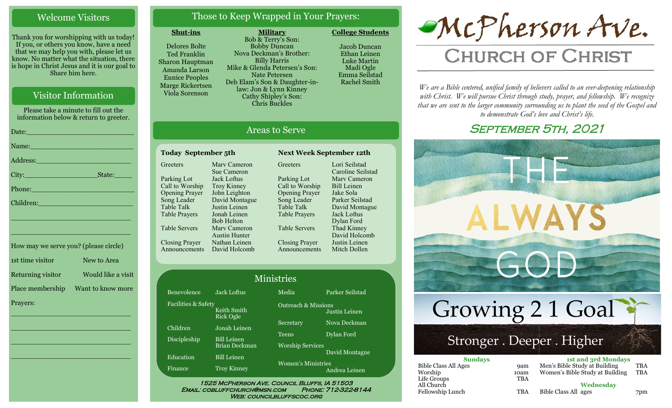## Welcome Visitors

Thank you for worshipping with us today! If you, or others you know, have a need that we may help you with, please let us know. No matter what the situation, there is hope in Christ Jesus and it is our goal to Share him here.

## Visitor Information

Please take a minute to fill out the information below & return to greeter. Date:\_\_\_\_\_\_\_\_\_\_\_\_\_\_\_\_\_\_\_\_\_\_\_\_\_ Name: Address:\_\_\_\_\_\_\_\_\_\_\_\_\_\_\_\_\_\_\_\_\_\_ City: State: Phone:\_\_\_\_\_\_\_\_\_\_\_\_\_\_\_\_\_\_\_\_\_\_\_\_ Children:

How may we serve you? (please circle) 1st time visitor New to Area Returning visitor Would like a visit Place membership Want to know more Prayers:

\_\_\_\_\_\_\_\_\_\_\_\_\_\_\_\_\_\_\_\_\_\_\_\_\_\_\_\_

\_\_\_\_\_\_\_\_\_\_\_\_\_\_\_\_\_\_\_\_\_\_\_\_\_\_\_\_

\_\_\_\_\_\_\_\_\_\_\_\_\_\_\_\_\_\_\_\_\_\_\_\_\_\_\_\_

\_\_\_\_\_\_\_\_\_\_\_\_\_\_\_\_\_\_\_\_\_\_\_\_\_\_\_\_

\_\_\_\_\_\_\_\_\_\_\_\_\_\_\_\_\_\_\_\_\_\_\_\_\_\_\_\_

\_\_\_\_\_\_\_\_\_\_\_\_\_\_\_\_\_\_\_\_\_\_\_\_\_\_\_\_

## Those to Keep Wrapped in Your Prayers:

#### **Shut-ins**

Delores Bolte Ted Franklin Sharon Hauptman Amanda Larson Eunice Peoples Marge Rickertsen Viola Sorenson

**Military** Bob & Terry's Son: Bobby Duncan Nova Deckman's Brother: Billy Harris Mike & Glenda Petersen's Son: Nate Petersen Deb Elam's Son & Daughter-inlaw: Jon & Lynn Kinney Cathy Shipley's Son: Chris Buckles

Jacob Duncan Ethan Leinen Luke Martin Madi Ogle

**College Students** 

Emma Seilstad Rachel Smith

## Areas to Serve

#### **Today September 5th Next Week September 12th Greeters** Parking Lot Call to Worship Opening Prayer Song Leader Table Talk Table Prayers Table Servers Closing Prayer Announcements David Holcomb Marv Cameron Sue Cameron Jack Loftus Troy Kinney John Leighton David Montague Justin Leinen Jonah Leinen Bob Helton Marv Cameron Austin Hunter Nathan Leinen

Fac

Greeters Parking Lot Call to Worship Opening Prayer Song Leader Table Talk Table Prayers Table Servers Closing Prayer Announcements

Lori Seilstad Caroline Seilstad Marv Cameron Bill Leinen Jake Sola Parker Seilstad David Montague Jack Loftus Dylan Ford Thad Kinney David Holcomb Justin Leinen Mitch Dollen

| Ministries                                             |                                     |                                         |                 |  |  |
|--------------------------------------------------------|-------------------------------------|-----------------------------------------|-----------------|--|--|
| Benevolence                                            | <b>Jack Loftus</b>                  | Media                                   | Parker Seilstad |  |  |
| Facilities & Safety<br>Keith Smith<br><b>Rick Ogle</b> |                                     | <b>Outreach &amp; Missions</b>          | Justin Leinen   |  |  |
| Children                                               | Jonah Leinen                        | Secretary                               | Nova Deckman    |  |  |
| <b>Discipleship</b>                                    | <b>Bill Leinen</b><br>Brian Deckman | <b>Teens</b><br><b>Worship Services</b> | Dylan Ford      |  |  |
| Education                                              | <b>Bill Leinen</b>                  |                                         | David Montague  |  |  |
| Finance                                                | <b>Troy Kinney</b>                  | <b>Women's Ministries</b>               | Andrea Leinen   |  |  |

#### Email: cobluffchurch@msn.com Phone: 712-322-8144 WEB: COUNCILBLUFFSCOC.ORG



# **CHURCH OF CHRIST**

*We are a Bible centered, unified family of believers called to an ever-deepening relationship*  with Christ. We will pursue Christ through study, prayer, and fellowship. We recognize *that we are sent to the larger community surrounding us to plant the seed of the Gospel and to demonstrate God's love and Christ's life.*

## SEPTEMBER 5TH, 2021



Bible Class All ages 7pm

Fellowship Lunch TBA